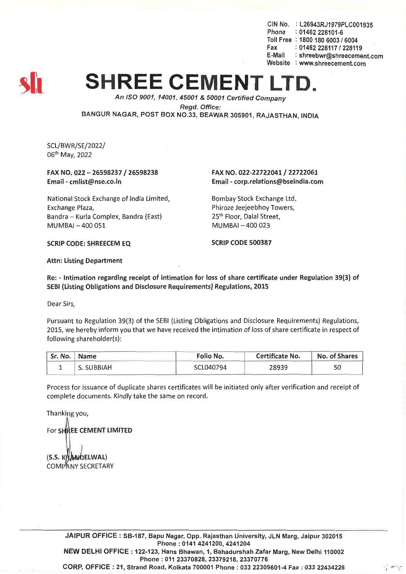CIN No. : L26943RJ1979PLC001935 Phone : 01462 228101-6 Toll Free : 1800 180 6003 *16004* Fax: *01462228117/228119* E-Mail: shreebwr@shreecement.com Website : www.shreecement.com

# **SHREE CEMENT**

*An ISO 9001, 14001,45001* & *50001 Certified Company Regd. Office:* BANGUR NAGAR, POST BOX NO.33, BEAWAR 305901, RAJASTHAN, INDIA

SCL/BWR/SE/2022/ 06th May, 2022

#### FAX NO. 022 - 26598237 / 26598238 Email -cmlist@nse.co.in

National Stock Exchange of India Limited, Exchange Plaza, Bandra - Kurla Complex, Bandra (East) MUMBAI-400 051

#### FAX NO. 022-22722041 / 22722061 Email-corp.relations@bseindia.com

Bombay Stock Exchange Ltd. Phiroze Jeejeebhoy Towers, 25<sup>th</sup> Floor, Dalal Street, MUMBAI-400 023

SCRIP CODE: SHREECEM EQ SCRIP CODE 500387

Attn: Listing Department

Re: - Intimation regarding receipt of intimation for loss of share certificate under Regulation 39(3) of SEBI (Listing Obligations and Disclosure Requirements) Regulations, 2015

Dear Sirs,

Pursuant to Regulation 39(3) of the SEBI (Listing Obligations and Disclosure Requirements) Regulations, 2015, we hereby inform you that we have received the intimation of loss of share certificate in respect of following shareholder(s):

| $^{\prime\prime}$ Sr. No. $_{\odot}$ | <b>Name</b> | Folio No. | <b>Certificate No.</b> | <b>No. of Shares</b> |
|--------------------------------------|-------------|-----------|------------------------|----------------------|
|                                      | S. SUBBIAH  | SCL040794 | 28939                  |                      |

Process for issuance of duplicate shares certificates will be initiated only after verification and receipt of complete documents. Kindly take the same on record.

Thanking you,

For SHREE CEMENT LIMITED

(S.S. KHANDELWAL) **COMPANY SECRETARY** 

JAIPUR OFFICE: SB-187, Bapu Nagar, Opp. Rajasthan University, JLN Marg, Jaipur 302015 Phone: 0141 4241200, 4241204 NEW DELHI OFFICE: 122-123, Hans Bhawan, 1, Bahadurshah Zafar Marg, New Delhi 110002 Phone: 011 23370828,23379218, 23370776 CORP. OFFICE: 21, Strand Road, Kolkata 700001'Phone : 033 22309601-4 Fax: 033 22434226 \ ,,,,,,,' ..